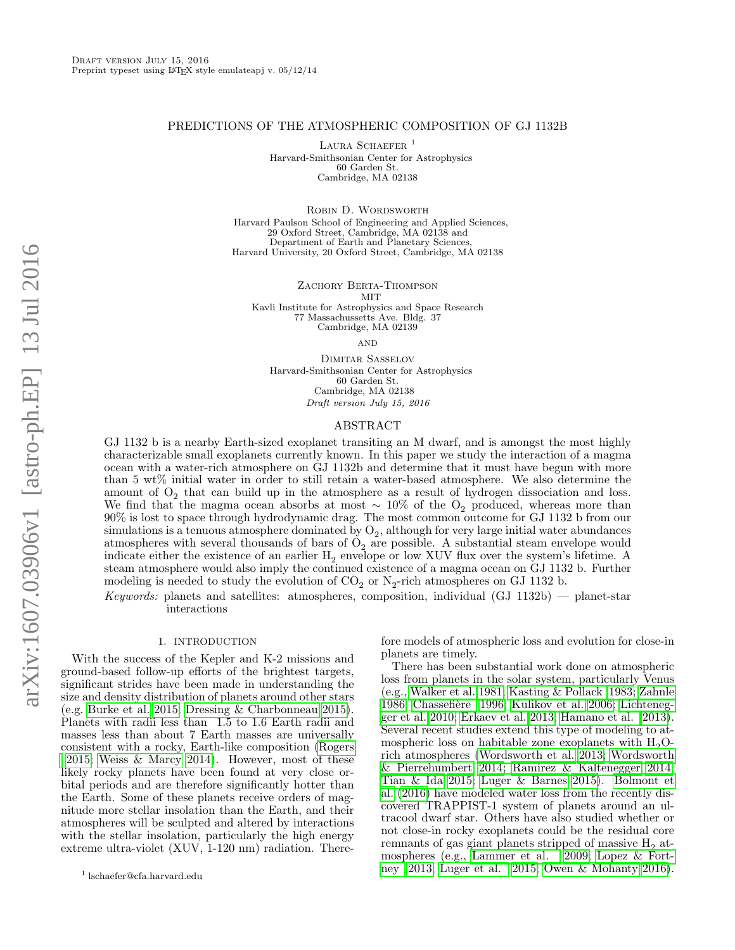### PREDICTIONS OF THE ATMOSPHERIC COMPOSITION OF GJ 1132B

LAURA SCHAEFER<sup>1</sup> Harvard-Smithsonian Center for Astrophysics 60 Garden St. Cambridge, MA 02138

ROBIN D. WORDSWORTH Harvard Paulson School of Engineering and Applied Sciences, 29 Oxford Street, Cambridge, MA 02138 and Department of Earth and Planetary Sciences, Harvard University, 20 Oxford Street, Cambridge, MA 02138

ZACHORY BERTA-THOMPSON MIT Kavli Institute for Astrophysics and Space Research 77 Massachussetts Ave. Bldg. 37 Cambridge, MA 02139

**AND** 

Dimitar Sasselov Harvard-Smithsonian Center for Astrophysics 60 Garden St. Cambridge, MA 02138 Draft version July 15, 2016

#### ABSTRACT

GJ 1132 b is a nearby Earth-sized exoplanet transiting an M dwarf, and is amongst the most highly characterizable small exoplanets currently known. In this paper we study the interaction of a magma ocean with a water-rich atmosphere on GJ 1132b and determine that it must have begun with more than 5 wt% initial water in order to still retain a water-based atmosphere. We also determine the amount of  $O_2$  that can build up in the atmosphere as a result of hydrogen dissociation and loss. We find that the magma ocean absorbs at most  $\sim 10\%$  of the O<sub>2</sub> produced, whereas more than 90% is lost to space through hydrodynamic drag. The most common outcome for GJ 1132 b from our  $\mathop{\mathrm{simulations}}$  is a tenuous atmosphere dominated by  $\mathcal{O}_2$ , although for very large initial water abundances atmospheres with several thousands of bars of  $O_2$  are possible. A substantial steam envelope would indicate either the existence of an earlier  $H_2$  envelope or low XUV flux over the system's lifetime. A steam atmosphere would also imply the continued existence of a magma ocean on GJ 1132 b. Further modeling is needed to study the evolution of  $CO_2$  or  $N_2$ -rich atmospheres on GJ 1132 b.

Keywords: planets and satellites: atmospheres, composition, individual  $(GJ 1132b)$  — planet-star interactions

#### 1. INTRODUCTION

With the success of the Kepler and K-2 missions and ground-based follow-up efforts of the brightest targets, significant strides have been made in understanding the size and density distribution of planets around other stars (e.g. [Burke et al. 2015;](#page-13-0) [Dressing & Charbonneau 2015\)](#page-13-1). Planets with radii less than 1.5 to 1.6 Earth radii and masses less than about 7 Earth masses are universally consistent with a rocky, Earth-like composition [\(Rogers](#page-13-2) [2015;](#page-13-2) [Weiss & Marcy 2014\)](#page-13-3). However, most of these [l](#page-13-2)ikely rocky planets have been found at very close orbital periods and are therefore significantly hotter than the Earth. Some of these planets receive orders of magnitude more stellar insolation than the Earth, and their atmospheres will be sculpted and altered by interactions with the stellar insolation, particularly the high energy extreme ultra-violet (XUV, 1-120 nm) radiation. Therefore models of atmospheric loss and evolution for close-in planets are timely.

There has been substantial work done on atmospheric loss from planets in the solar system, particularly Venus (e.g., [Walker et al. 1981;](#page-13-4) [Kasting & Pollack 1983;](#page-13-5) [Zahnle](#page-13-6) [1986;](#page-13-6) Chassefière 1996; [Kulikov et al. 2006;](#page-13-8) [Lichteneg](#page-13-9)[ger et al. 2010;](#page-13-9) [Erkaev et al. 2013;](#page-13-10) [Hamano et al. 2013\)](#page-13-11). Several recent studies extend this type of modeling to atmospheric loss on habitable zone exoplanets with  $H_2O$ rich atmospheres [\(Wordsworth et al. 2013;](#page-13-12) [Wordsworth](#page-13-13) [& Pierrehumbert 2014;](#page-13-13) [Ramirez & Kaltenegger 2014;](#page-13-14) [Tian & Ida 2015;](#page-13-15) [Luger & Barnes 2015\)](#page-13-16). [Bolmont et](#page-13-17) [al.](#page-13-17) [\(2016\)](#page-13-17) have modeled water loss from the recently discovered TRAPPIST-1 system of planets around an ultracool dwarf star. Others have also studied whether or not close-in rocky exoplanets could be the residual core remnants of gas giant planets stripped of massive  $H_2$  atmospheres (e.g., [Lammer et al. 2009;](#page-13-18) [Lopez & Fort](#page-13-19)[ney 2013;](#page-13-19) [Luger et al. 2015;](#page-13-20) [Owen & Mohanty 2016\)](#page-13-21).

<sup>1</sup> lschaefer@cfa.harvard.edu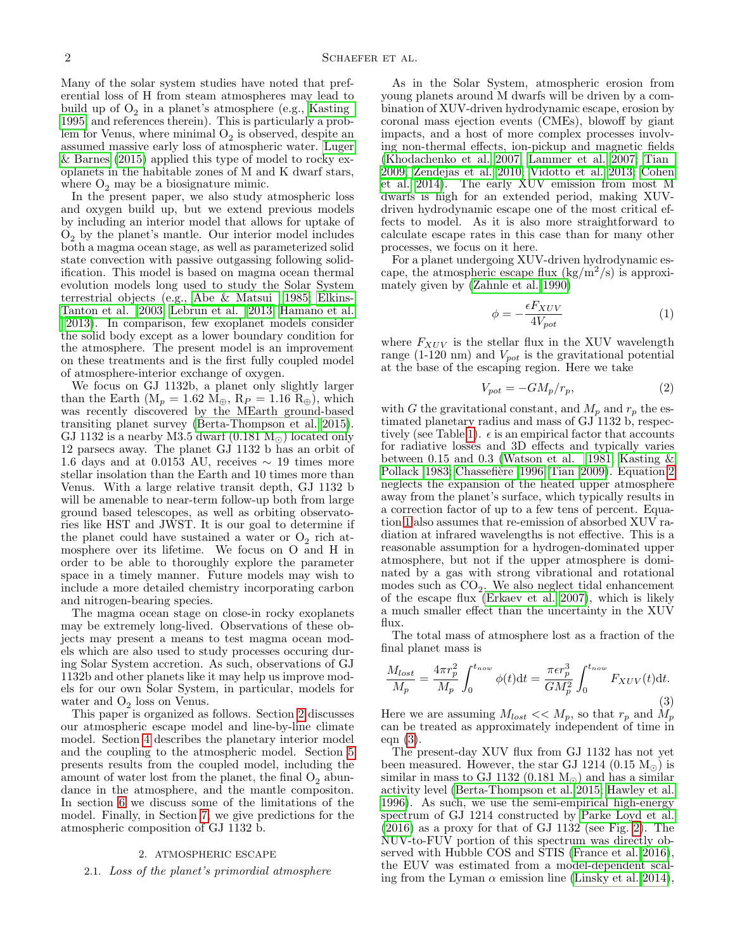Many of the solar system studies have noted that preferential loss of H from steam atmospheres may lead to build up of  $O_2$  in a planet's atmosphere (e.g., [Kasting](#page-13-22) [1995,](#page-13-22) and references therein). This is particularly a problem for Venus, where minimal  $O_2$  is observed, despite an assumed massive early loss of atmospheric water. [Luger](#page-13-16) [& Barnes](#page-13-16) [\(2015\)](#page-13-16) applied this type of model to rocky exoplanets in the habitable zones of M and K dwarf stars, where  $O_2$  may be a biosignature mimic.

In the present paper, we also study atmospheric loss and oxygen build up, but we extend previous models by including an interior model that allows for uptake of  $O<sub>2</sub>$  by the planet's mantle. Our interior model includes both a magma ocean stage, as well as parameterized solid state convection with passive outgassing following solidification. This model is based on magma ocean thermal evolution models long used to study the Solar System terrestrial objects (e.g., [Abe & Matsui 1985;](#page-13-23) [Elkins-](#page-13-24)[Tanton et al. 2003;](#page-13-24) [Lebrun et al. 2013;](#page-13-25) [Hamano et al.](#page-13-11) [2013\)](#page-13-11). In comparison, few exoplanet models consider [t](#page-13-11)he solid body except as a lower boundary condition for the atmosphere. The present model is an improvement on these treatments and is the first fully coupled model of atmosphere-interior exchange of oxygen.

We focus on GJ 1132b, a planet only slightly larger than the Earth ( $M_p = 1.62$   $M_\oplus$ ,  $R_P = 1.16$   $R_\oplus$ ), which was recently discovered by the MEarth ground-based transiting planet survey [\(Berta-Thompson et al. 2015\)](#page-13-26). GJ 1132 is a nearby M3.5 dwarf  $(0.181 M_{\odot})$  located only 12 parsecs away. The planet GJ 1132 b has an orbit of 1.6 days and at 0.0153 AU, receives  $\sim$  19 times more stellar insolation than the Earth and 10 times more than Venus. With a large relative transit depth, GJ 1132 b will be amenable to near-term follow-up both from large ground based telescopes, as well as orbiting observatories like HST and JWST. It is our goal to determine if the planet could have sustained a water or  $O_2$  rich atmosphere over its lifetime. We focus on O and H in order to be able to thoroughly explore the parameter space in a timely manner. Future models may wish to include a more detailed chemistry incorporating carbon and nitrogen-bearing species.

The magma ocean stage on close-in rocky exoplanets may be extremely long-lived. Observations of these objects may present a means to test magma ocean models which are also used to study processes occuring during Solar System accretion. As such, observations of GJ 1132b and other planets like it may help us improve models for our own Solar System, in particular, models for water and  $O_2$  loss on Venus.

This paper is organized as follows. Section [2](#page-1-0) discusses our atmospheric escape model and line-by-line climate model. Section [4](#page-4-0) describes the planetary interior model and the coupling to the atmospheric model. Section [5](#page-7-0) presents results from the coupled model, including the amount of water lost from the planet, the final  $O_2$  abundance in the atmosphere, and the mantle compositon. In section [6](#page-10-0) we discuss some of the limitations of the model. Finally, in Section [7,](#page-12-0) we give predictions for the atmospheric composition of GJ 1132 b.

#### 2. ATMOSPHERIC ESCAPE

### <span id="page-1-4"></span><span id="page-1-0"></span>2.1. Loss of the planet's primordial atmosphere

As in the Solar System, atmospheric erosion from young planets around M dwarfs will be driven by a combination of XUV-driven hydrodynamic escape, erosion by coronal mass ejection events (CMEs), blowoff by giant impacts, and a host of more complex processes involving non-thermal effects, ion-pickup and magnetic fields [\(Khodachenko et al. 2007;](#page-13-27) [Lammer et al. 2007;](#page-13-28) [Tian](#page-13-29) [2009;](#page-13-29) [Zendejas et al. 2010;](#page-13-30) [Vidotto et al. 2013;](#page-13-31) [Cohen](#page-13-32) [et al. 2014\)](#page-13-32). The early XUV emission from most M dwarfs is high for an extended period, making XUVdriven hydrodynamic escape one of the most critical effects to model. As it is also more straightforward to calculate escape rates in this case than for many other processes, we focus on it here.

For a planet undergoing XUV-driven hydrodynamic escape, the atmospheric escape flux  $(kg/m^2/s)$  is approximately given by [\(Zahnle et al. 1990\)](#page-13-33)

<span id="page-1-2"></span>
$$
\phi = -\frac{\epsilon F_{XUV}}{4V_{pot}}\tag{1}
$$

where  $F_{XUV}$  is the stellar flux in the XUV wavelength range (1-120 nm) and  $V_{pot}$  is the gravitational potential at the base of the escaping region. Here we take

<span id="page-1-1"></span>
$$
V_{pot} = -GM_p/r_p,\t\t(2)
$$

with G the gravitational constant, and  $M_p$  and  $r_p$  the estimated planetary radius and mass of GJ 1132 b, respec-tively (see Table [1\)](#page-7-1).  $\epsilon$  is an empirical factor that accounts for radiative losses and 3D effects and typically varies between 0.15 and 0.3 [\(Watson et al. 1981;](#page-13-34) Kasting  $\&$ [Pollack 1983;](#page-13-5) Chassefière 1996; [Tian 2009\)](#page-13-29). Equation [2](#page-1-1) neglects the expansion of the heated upper atmosphere away from the planet's surface, which typically results in a correction factor of up to a few tens of percent. Equation [1](#page-1-2) also assumes that re-emission of absorbed XUV radiation at infrared wavelengths is not effective. This is a reasonable assumption for a hydrogen-dominated upper atmosphere, but not if the upper atmosphere is dominated by a gas with strong vibrational and rotational modes such as  $CO<sub>2</sub>$ . We also neglect tidal enhancement of the escape flux [\(Erkaev et al. 2007\)](#page-13-35), which is likely a much smaller effect than the uncertainty in the XUV flux.

The total mass of atmosphere lost as a fraction of the final planet mass is

<span id="page-1-3"></span>
$$
\frac{M_{lost}}{M_p} = \frac{4\pi r_p^2}{M_p} \int_0^{t_{now}} \phi(t) dt = \frac{\pi \epsilon r_p^3}{GM_p^2} \int_0^{t_{now}} F_{XUV}(t) dt.
$$
\n(3)

Here we are assuming  $M_{lost} << M_p$ , so that  $r_p$  and  $M_p$ can be treated as approximately independent of time in eqn [\(3\)](#page-1-3).

The present-day XUV flux from GJ 1132 has not yet been measured. However, the star GJ 1214  $(0.15 M_{\odot})$  is similar in mass to GJ 1132 (0.181  $M_{\odot}$ ) and has a similar activity level [\(Berta-Thompson et al. 2015;](#page-13-26) [Hawley et al.](#page-13-36) [1996\)](#page-13-36). As such, we use the semi-empirical high-energy spectrum of GJ 1214 constructed by [Parke Loyd et al.](#page-13-37)  $(2016)$  as a proxy for that of GJ 1132 (see Fig. [2\)](#page-3-0). The NUV-to-FUV portion of this spectrum was directly observed with Hubble COS and STIS [\(France et al. 2016\)](#page-13-38), the EUV was estimated from a model-dependent scaling from the Lyman  $\alpha$  emission line [\(Linsky et al. 2014\)](#page-13-39),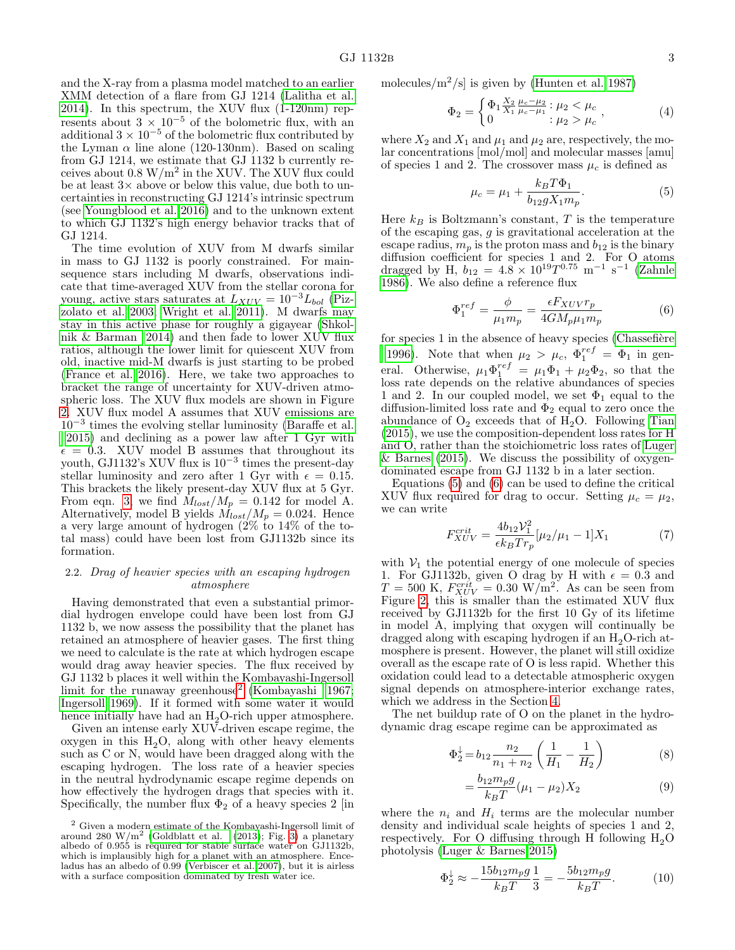and the X-ray from a plasma model matched to an earlier XMM detection of a flare from GJ 1214 [\(Lalitha et al.](#page-13-40) [2014\)](#page-13-40). In this spectrum, the XUV flux (1-120nm) represents about  $3 \times 10^{-5}$  of the bolometric flux, with an additional  $3 \times 10^{-5}$  of the bolometric flux contributed by the Lyman  $\alpha$  line alone (120-130nm). Based on scaling from GJ 1214, we estimate that GJ 1132 b currently receives about  $0.8 \text{ W/m}^2$  in the XUV. The XUV flux could be at least  $3\times$  above or below this value, due both to uncertainties in reconstructing GJ 1214's intrinsic spectrum (see [Youngblood et al. 2016\)](#page-13-41) and to the unknown extent to which GJ 1132's high energy behavior tracks that of GJ 1214.

The time evolution of XUV from M dwarfs similar in mass to GJ 1132 is poorly constrained. For mainsequence stars including M dwarfs, observations indicate that time-averaged XUV from the stellar corona for young, active stars saturates at  $L_{XUV} = 10^{-3}L_{bol}$  [\(Piz](#page-13-42)[zolato et al. 2003;](#page-13-42) [Wright et al. 2011\)](#page-13-43). M dwarfs may stay in this active phase for roughly a gigayear [\(Shkol](#page-13-44)[nik & Barman 2014\)](#page-13-44) and then fade to lower XUV flux ratios, although the lower limit for quiescent XUV from old, inactive mid-M dwarfs is just starting to be probed [\(France et al. 2016\)](#page-13-38). Here, we take two approaches to bracket the range of uncertainty for XUV-driven atmospheric loss. The XUV flux models are shown in Figure [2.](#page-3-0) XUV flux model A assumes that XUV emissions are 10<sup>−</sup><sup>3</sup> times the evolving stellar luminosity [\(Baraffe et al.](#page-13-45) [2015\)](#page-13-45) and declining as a power law after 1 Gyr with  $\epsilon = 0.3$ . XUV model B assumes that throughout its youth, GJ1132's XUV flux is 10<sup>−</sup><sup>3</sup> times the present-day stellar luminosity and zero after 1 Gyr with  $\epsilon = 0.15$ . This brackets the likely present-day XUV flux at 5 Gyr. From eqn. [3,](#page-1-3) we find  $M_{lost}/M_p = 0.142$  for model A. Alternatively, model B yields  $\dot{M}_{lost}/M_p = 0.024$ . Hence a very large amount of hydrogen  $(2\%$  to  $14\%$  of the total mass) could have been lost from GJ1132b since its formation.

# <span id="page-2-4"></span>2.2. Drag of heavier species with an escaping hydrogen atmosphere

Having demonstrated that even a substantial primordial hydrogen envelope could have been lost from GJ 1132 b, we now assess the possibility that the planet has retained an atmosphere of heavier gases. The first thing we need to calculate is the rate at which hydrogen escape would drag away heavier species. The flux received by GJ 1132 b places it well within the Kombayashi-Ingersoll limit for the runaway greenhouse<sup>[2](#page-2-0)</sup> [\(Kombayashi 1967;](#page-13-46) [Ingersoll 1969\)](#page-13-47). If it formed with some water it would hence initially have had an  $H_2O$ -rich upper atmosphere.

Given an intense early XUV-driven escape regime, the oxygen in this  $H_2O$ , along with other heavy elements such as C or N, would have been dragged along with the escaping hydrogen. The loss rate of a heavier species in the neutral hydrodynamic escape regime depends on how effectively the hydrogen drags that species with it. Specifically, the number flux  $\Phi_2$  of a heavy species 2 [in molecules/ $\frac{m^2}{s}$  is given by [\(Hunten et al. 1987\)](#page-13-50)

$$
\Phi_2 = \begin{cases} \Phi_1 \frac{X_2}{X_1} \frac{\mu_c - \mu_2}{\mu_c - \mu_1} : \mu_2 < \mu_c \\ 0 < \mu_2 > \mu_c \end{cases},\tag{4}
$$

where  $X_2$  and  $X_1$  and  $\mu_1$  and  $\mu_2$  are, respectively, the molar concentrations [mol/mol] and molecular masses [amu] of species 1 and 2. The crossover mass  $\mu_c$  is defined as

<span id="page-2-1"></span>
$$
\mu_c = \mu_1 + \frac{k_B T \Phi_1}{b_{12} g X_1 m_p}.
$$
\n(5)

Here  $k_B$  is Boltzmann's constant, T is the temperature of the escaping gas, g is gravitational acceleration at the escape radius,  $m_p$  is the proton mass and  $b_{12}$  is the binary diffusion coefficient for species 1 and 2. For O atoms dragged by H,  $b_{12} = 4.8 \times 10^{19} T^{0.75} \text{ m}^{-1} \text{ s}^{-1}$  [\(Zahnle](#page-13-6) [1986\)](#page-13-6). We also define a reference flux

<span id="page-2-2"></span>
$$
\Phi_1^{ref} = \frac{\phi}{\mu_1 m_p} = \frac{\epsilon F_{XUV} r_p}{4GM_p\mu_1 m_p} \tag{6}
$$

for species  $1$  in the absence of heavy species (Chassefière [1996\)](#page-13-7). Note that when  $\mu_2 > \mu_c$ ,  $\Phi_1^{ref} = \Phi_1$  in gen-

eral. Otherwise,  $\mu_1 \Phi_1^{ref} = \mu_1 \Phi_1 + \mu_2 \Phi_2$ , so that the loss rate depends on the relative abundances of species 1 and 2. In our coupled model, we set  $\Phi_1$  equal to the diffusion-limited loss rate and  $\Phi_2$  equal to zero once the abundance of  $O_2$  exceeds that of  $H_2O$ . Following [Tian](#page-13-51) [\(2015\)](#page-13-51), we use the composition-dependent loss rates for H and O, rather than the stoichiometric loss rates of [Luger](#page-13-16) [& Barnes](#page-13-16) [\(2015\)](#page-13-16). We discuss the possibility of oxygendominated escape from GJ 1132 b in a later section.

Equations [\(5\)](#page-2-1) and [\(6\)](#page-2-2) can be used to define the critical XUV flux required for drag to occur. Setting  $\mu_c = \mu_2$ , we can write

$$
F_{XUV}^{crit} = \frac{4b_{12}V_1^2}{\epsilon k_B T r_p} [\mu_2/\mu_1 - 1]X_1 \tag{7}
$$

with  $V_1$  the potential energy of one molecule of species 1. For GJ1132b, given O drag by H with  $\epsilon = 0.3$  and  $T = 500 \text{ K}, F_{XUV}^{crit} = 0.30 \text{ W/m}^2$ . As can be seen from Figure [2,](#page-3-0) this is smaller than the estimated XUV flux received by GJ1132b for the first 10 Gy of its lifetime in model A, implying that oxygen will continually be dragged along with escaping hydrogen if an  $H_2O$ -rich atmosphere is present. However, the planet will still oxidize overall as the escape rate of O is less rapid. Whether this oxidation could lead to a detectable atmospheric oxygen signal depends on atmosphere-interior exchange rates, which we address in the Section [4.](#page-4-0)

The net buildup rate of O on the planet in the hydrodynamic drag escape regime can be approximated as

<span id="page-2-3"></span>
$$
\Phi_2^{\downarrow} = b_{12} \frac{n_2}{n_1 + n_2} \left( \frac{1}{H_1} - \frac{1}{H_2} \right) \tag{8}
$$

$$
=\frac{b_{12}m_{p}g}{k_{B}T}(\mu_{1}-\mu_{2})X_{2}
$$
\n(9)

where the  $n_i$  and  $H_i$  terms are the molecular number density and individual scale heights of species 1 and 2, respectively. For O diffusing through H following  $H_2O$ photolysis [\(Luger & Barnes 2015\)](#page-13-16)

=

$$
\Phi_2^{\downarrow} \approx -\frac{15b_{12}m_p g}{k_B T} \frac{1}{3} = -\frac{5b_{12}m_p g}{k_B T}.
$$
 (10)

<span id="page-2-0"></span><sup>2</sup> Given a modern estimate of the Kombayashi-Ingersoll limit of around 280 W/m<sup>2</sup> [\(Goldblatt et al.](#page-13-48) [\(2013\)](#page-13-48); Fig. [3\)](#page-5-0) a planetary albedo of 0.955 is required for stable surface water on GJ1132b, which is implausibly high for a planet with an atmosphere. Enceladus has an albedo of 0.99 [\(Verbiscer et al. 2007\)](#page-13-49), but it is airless with a surface composition dominated by fresh water ice.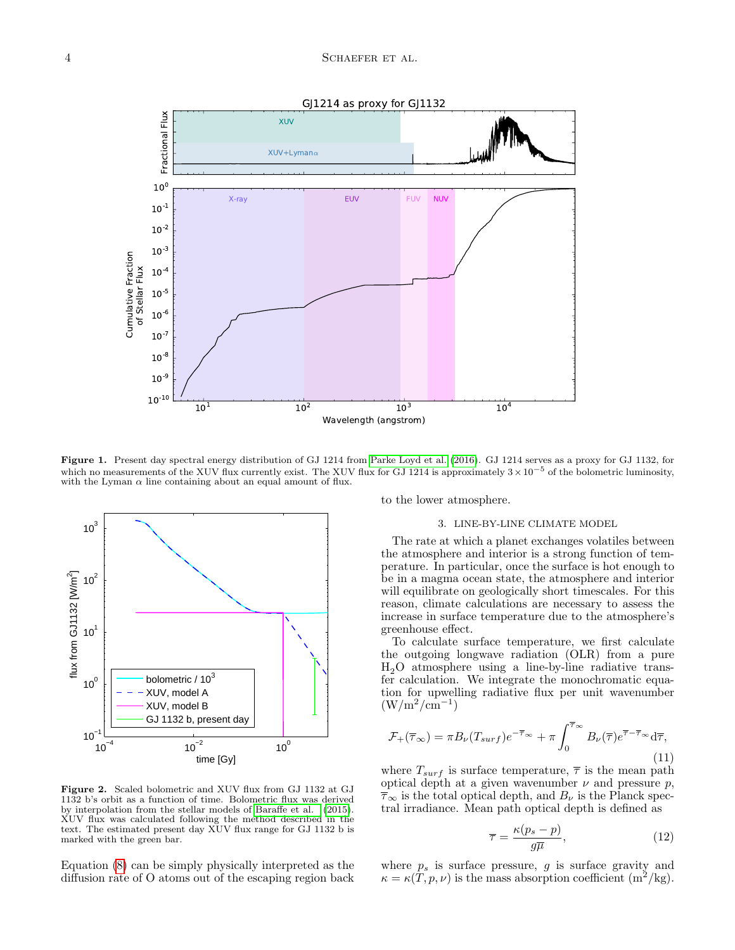

Figure 1. Present day spectral energy distribution of GJ 1214 from [Parke Loyd et al.](#page-13-37) [\(2016\)](#page-13-37). GJ 1214 serves as a proxy for GJ 1132, for which no measurements of the XUV flux currently exist. The XUV flux for GJ 1214 is approximately  $3 \times 10^{-5}$  of the bolometric luminosity, with the Lyman  $\alpha$  line containing about an equal amount of flux.



<span id="page-3-0"></span>Figure 2. Scaled bolometric and XUV flux from GJ 1132 at GJ 1132 b's orbit as a function of time. Bolometric flux was derived by interpolation from the stellar models of [Baraffe et al.](#page-13-45) [\(2015\)](#page-13-45). XUV flux was calculated following the method described in the text. The estimated present day XUV flux range for GJ 1132 b is marked with the green bar.

Equation [\(8\)](#page-2-3) can be simply physically interpreted as the diffusion rate of O atoms out of the escaping region back

to the lower atmosphere.

### 3. LINE-BY-LINE CLIMATE MODEL

<span id="page-3-1"></span>The rate at which a planet exchanges volatiles between the atmosphere and interior is a strong function of temperature. In particular, once the surface is hot enough to be in a magma ocean state, the atmosphere and interior will equilibrate on geologically short timescales. For this reason, climate calculations are necessary to assess the increase in surface temperature due to the atmosphere's greenhouse effect.

To calculate surface temperature, we first calculate the outgoing longwave radiation (OLR) from a pure  $H<sub>2</sub>O$  atmosphere using a line-by-line radiative transfer calculation. We integrate the monochromatic equation for upwelling radiative flux per unit wavenumber  $(W/m^2/cm^{-1})$ 

$$
\mathcal{F}_{+}(\overline{\tau}_{\infty}) = \pi B_{\nu}(T_{surf})e^{-\overline{\tau}_{\infty}} + \pi \int_{0}^{\overline{\tau}_{\infty}} B_{\nu}(\overline{\tau})e^{\overline{\tau}-\overline{\tau}_{\infty}} d\overline{\tau},\tag{11}
$$

where  $T_{surf}$  is surface temperature,  $\bar{\tau}$  is the mean path optical depth at a given wavenumber  $\nu$  and pressure  $p$ ,  $\overline{\tau}_{\infty}$  is the total optical depth, and  $B_{\nu}$  is the Planck spectral irradiance. Mean path optical depth is defined as

$$
\overline{\tau} = \frac{\kappa (p_s - p)}{g \overline{\mu}},\tag{12}
$$

where  $p_s$  is surface pressure, g is surface gravity and  $\kappa = \kappa(T, p, \nu)$  is the mass absorption coefficient  $(m^2/kg)$ .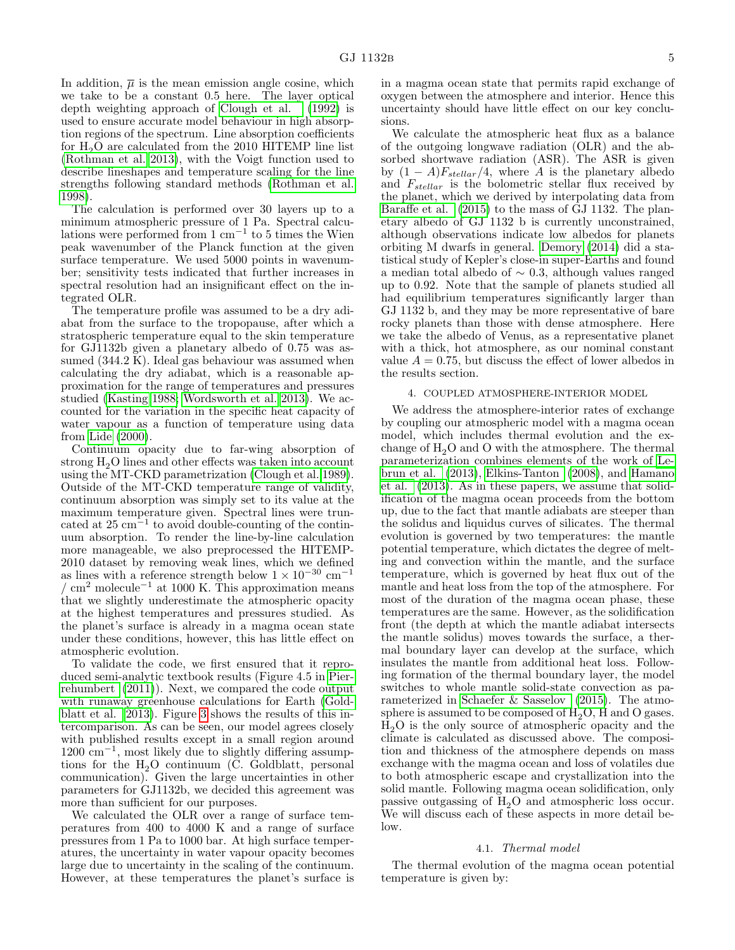In addition,  $\overline{\mu}$  is the mean emission angle cosine, which we take to be a constant 0.5 here. The layer optical depth weighting approach of [Clough et al.](#page-13-52) [\(1992\)](#page-13-52) is used to ensure accurate model behaviour in high absorption regions of the spectrum. Line absorption coefficients for  $H_2O$  are calculated from the 2010 HITEMP line list [\(Rothman et al. 2013\)](#page-13-53), with the Voigt function used to describe lineshapes and temperature scaling for the line strengths following standard methods [\(Rothman et al.](#page-13-54) [1998\)](#page-13-54).

The calculation is performed over 30 layers up to a minimum atmospheric pressure of 1 Pa. Spectral calculations were performed from 1 cm−<sup>1</sup> to 5 times the Wien peak wavenumber of the Planck function at the given surface temperature. We used 5000 points in wavenumber; sensitivity tests indicated that further increases in spectral resolution had an insignificant effect on the integrated OLR.

The temperature profile was assumed to be a dry adiabat from the surface to the tropopause, after which a stratospheric temperature equal to the skin temperature for GJ1132b given a planetary albedo of 0.75 was assumed (344.2 K). Ideal gas behaviour was assumed when calculating the dry adiabat, which is a reasonable approximation for the range of temperatures and pressures studied [\(Kasting 1988;](#page-13-55) [Wordsworth et al. 2013\)](#page-13-12). We accounted for the variation in the specific heat capacity of water vapour as a function of temperature using data from [Lide](#page-13-56) [\(2000\)](#page-13-56).

Continuum opacity due to far-wing absorption of strong  $H<sub>2</sub>O$  lines and other effects was taken into account using the MT-CKD parametrization [\(Clough et al. 1989\)](#page-13-57). Outside of the MT-CKD temperature range of validity, continuum absorption was simply set to its value at the maximum temperature given. Spectral lines were truncated at  $25 \text{ cm}^{-1}$  to avoid double-counting of the continuum absorption. To render the line-by-line calculation more manageable, we also preprocessed the HITEMP-2010 dataset by removing weak lines, which we defined as lines with a reference strength below  $1\times10^{-30}~\mathrm{cm}^{-1}$  $/$  cm<sup>2</sup> molecule<sup>-1</sup> at 1000 K. This approximation means that we slightly underestimate the atmospheric opacity at the highest temperatures and pressures studied. As the planet's surface is already in a magma ocean state under these conditions, however, this has little effect on atmospheric evolution.

To validate the code, we first ensured that it reproduced semi-analytic textbook results (Figure 4.5 in [Pier](#page-13-58)[rehumbert](#page-13-58) [\(2011\)](#page-13-58)). Next, we compared the code output with runaway greenhouse calculations for Earth [\(Gold](#page-13-48)[blatt et al. 2013\)](#page-13-48). Figure [3](#page-5-0) shows the results of this intercomparison. As can be seen, our model agrees closely with published results except in a small region around 1200 cm<sup>−</sup><sup>1</sup> , most likely due to slightly differing assumptions for the  $H_2O$  continuum (C. Goldblatt, personal communication). Given the large uncertainties in other parameters for GJ1132b, we decided this agreement was more than sufficient for our purposes.

We calculated the OLR over a range of surface temperatures from 400 to 4000 K and a range of surface pressures from 1 Pa to 1000 bar. At high surface temperatures, the uncertainty in water vapour opacity becomes large due to uncertainty in the scaling of the continuum. However, at these temperatures the planet's surface is in a magma ocean state that permits rapid exchange of oxygen between the atmosphere and interior. Hence this uncertainty should have little effect on our key conclusions.

We calculate the atmospheric heat flux as a balance of the outgoing longwave radiation (OLR) and the absorbed shortwave radiation (ASR). The ASR is given by  $(1 - A)F_{stellar}/4$ , where A is the planetary albedo and  $F_{stellar}$  is the bolometric stellar flux received by the planet, which we derived by interpolating data from [Baraffe et al.](#page-13-45) [\(2015\)](#page-13-45) to the mass of GJ 1132. The planetary albedo of GJ 1132 b is currently unconstrained, although observations indicate low albedos for planets orbiting M dwarfs in general. [Demory](#page-13-59) [\(2014\)](#page-13-59) did a statistical study of Kepler's close-in super-Earths and found a median total albedo of ∼ 0.3, although values ranged up to 0.92. Note that the sample of planets studied all had equilibrium temperatures significantly larger than GJ 1132 b, and they may be more representative of bare rocky planets than those with dense atmosphere. Here we take the albedo of Venus, as a representative planet with a thick, hot atmosphere, as our nominal constant value  $A = 0.75$ , but discuss the effect of lower albedos in the results section.

#### 4. COUPLED ATMOSPHERE-INTERIOR MODEL

<span id="page-4-0"></span>We address the atmosphere-interior rates of exchange by coupling our atmospheric model with a magma ocean model, which includes thermal evolution and the exchange of  $H<sub>2</sub>O$  and O with the atmosphere. The thermal parameterization combines elements of the work of [Le](#page-13-25)[brun et al.](#page-13-25) [\(2013\)](#page-13-25), [Elkins-Tanton](#page-13-60) [\(2008\)](#page-13-60), and [Hamano](#page-13-11) [et al.](#page-13-11) [\(2013\)](#page-13-11). As in these papers, we assume that solidification of the magma ocean proceeds from the bottom up, due to the fact that mantle adiabats are steeper than the solidus and liquidus curves of silicates. The thermal evolution is governed by two temperatures: the mantle potential temperature, which dictates the degree of melting and convection within the mantle, and the surface temperature, which is governed by heat flux out of the mantle and heat loss from the top of the atmosphere. For most of the duration of the magma ocean phase, these temperatures are the same. However, as the solidification front (the depth at which the mantle adiabat intersects the mantle solidus) moves towards the surface, a thermal boundary layer can develop at the surface, which insulates the mantle from additional heat loss. Following formation of the thermal boundary layer, the model switches to whole mantle solid-state convection as parameterized in [Schaefer & Sasselov](#page-13-61) [\(2015\)](#page-13-61). The atmosphere is assumed to be composed of  $H_2O$ , H and O gases.  $H<sub>2</sub>O$  is the only source of atmospheric opacity and the climate is calculated as discussed above. The composition and thickness of the atmosphere depends on mass exchange with the magma ocean and loss of volatiles due to both atmospheric escape and crystallization into the solid mantle. Following magma ocean solidification, only passive outgassing of  $H_2O$  and atmospheric loss occur. We will discuss each of these aspects in more detail below.

#### 4.1. Thermal model

The thermal evolution of the magma ocean potential temperature is given by: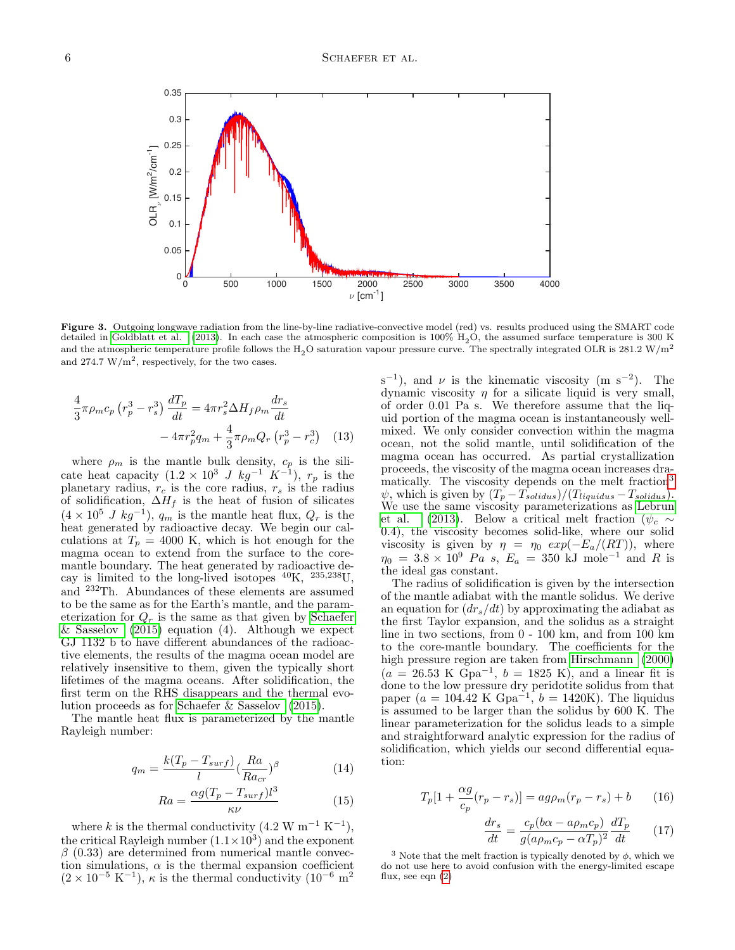

<span id="page-5-0"></span>Figure 3. Outgoing longwave radiation from the line-by-line radiative-convective model (red) vs. results produced using the SMART code detailed in [Goldblatt et al.](#page-13-48) [\(2013\)](#page-13-48). In each case the atmospheric composition is  $100\%$  H<sub>2</sub>O, the assumed surface temperature is 300 K and the atmospheric temperature profile follows the H<sub>2</sub>O saturation vapour pressure curve. The spectrally integrated OLR is 281.2 W/m<sup>2</sup> and  $274.7 \text{ W/m}^2$ , respectively, for the two cases.

$$
\frac{4}{3}\pi \rho_m c_p \left(r_p^3 - r_s^3\right) \frac{dT_p}{dt} = 4\pi r_s^2 \Delta H_f \rho_m \frac{dr_s}{dt} \n- 4\pi r_p^2 q_m + \frac{4}{3}\pi \rho_m Q_r \left(r_p^3 - r_c^3\right)
$$
\n(13)

where  $\rho_m$  is the mantle bulk density,  $c_p$  is the silicate heat capacity  $(1.2 \times 10^3 J kg^{-1} K^{-1})$ ,  $r_p$  is the planetary radius,  $r_c$  is the core radius,  $r_s$  is the radius of solidification,  $\Delta H_f$  is the heat of fusion of silicates  $(4 \times 10^5$  J kg<sup>-1</sup>),  $q_m$  is the mantle heat flux,  $Q_r$  is the heat generated by radioactive decay. We begin our calculations at  $T_p = 4000$  K, which is hot enough for the magma ocean to extend from the surface to the coremantle boundary. The heat generated by radioactive decay is limited to the long-lived isotopes <sup>40</sup>K, 235,238U, and <sup>232</sup>Th. Abundances of these elements are assumed to be the same as for the Earth's mantle, and the parameterization for  $Q_r$  is the same as that given by [Schaefer](#page-13-61) [& Sasselov](#page-13-61)  $(2015)$  equation  $(4)$ . Although we expect GJ 1132 b to have different abundances of the radioactive elements, the results of the magma ocean model are relatively insensitive to them, given the typically short lifetimes of the magma oceans. After solidification, the first term on the RHS disappears and the thermal evolution proceeds as for [Schaefer & Sasselov](#page-13-61) [\(2015\)](#page-13-61).

The mantle heat flux is parameterized by the mantle Rayleigh number:

$$
q_m = \frac{k(T_p - T_{surf})}{l} \left(\frac{Ra}{Ra_{cr}}\right)^{\beta} \tag{14}
$$

$$
Ra = \frac{\alpha g (T_p - T_{surf}) l^3}{\kappa \nu} \tag{15}
$$

where k is the thermal conductivity  $(4.2 \text{ W m}^{-1} \text{ K}^{-1}),$ the critical Rayleigh number  $(1.1 \times 10^3)$  and the exponent  $\beta$  (0.33) are determined from numerical mantle convection simulations,  $\alpha$  is the thermal expansion coefficient  $(2 \times 10^{-5} \text{ K}^{-1})$ ,  $\kappa$  is the thermal conductivity  $(10^{-6} \text{ m}^2)$ 

 $(s^{-1})$ , and  $\nu$  is the kinematic viscosity (m s<sup>-2</sup>). The dynamic viscosity  $\eta$  for a silicate liquid is very small, of order 0.01 Pa s. We therefore assume that the liquid portion of the magma ocean is instantaneously wellmixed. We only consider convection within the magma ocean, not the solid mantle, until solidification of the magma ocean has occurred. As partial crystallization proceeds, the viscosity of the magma ocean increases dra-matically. The viscosity depends on the melt fraction<sup>[3](#page-5-1)</sup>  $\psi$ , which is given by  $(T_p - T_{solidus})/(T_{liquidus} - T_{solidus}).$ We use the same viscosity parameterizations as [Lebrun](#page-13-25) [et al.](#page-13-25) [\(2013\)](#page-13-25). Below a critical melt fraction ( $\psi_c \sim$ 0.4), the viscosity becomes solid-like, where our solid viscosity is given by  $\eta = \eta_0 \exp(-E_a/(RT))$ , where  $\eta_0 = 3.8 \times 10^9$  Pa s,  $E_a = 350$  kJ mole<sup>-1</sup> and R is the ideal gas constant.

The radius of solidification is given by the intersection of the mantle adiabat with the mantle solidus. We derive an equation for  $(dr_s/dt)$  by approximating the adiabat as the first Taylor expansion, and the solidus as a straight line in two sections, from 0 - 100 km, and from 100 km to the core-mantle boundary. The coefficients for the high pressure region are taken from [Hirschmann](#page-13-62) [\(2000\)](#page-13-62)  $(a = 26.53 \text{ K Gpa}^{-1}, b = 1825 \text{ K}), \text{ and a linear fit is}$ done to the low pressure dry peridotite solidus from that paper  $(a = 104.42 \text{ K } \text{Gpa}^{-1}, b = 1420 \text{K}$ . The liquidus is assumed to be larger than the solidus by 600 K. The linear parameterization for the solidus leads to a simple and straightforward analytic expression for the radius of solidification, which yields our second differential equation:

$$
T_p[1 + \frac{\alpha g}{c_p}(r_p - r_s)] = ag\rho_m(r_p - r_s) + b \qquad (16)
$$

$$
\frac{dr_s}{dt} = \frac{c_p(b\alpha - a\rho_m c_p)}{g(a\rho_m c_p - \alpha T_p)^2} \frac{dT_p}{dt} \qquad (17)
$$

<span id="page-5-1"></span><sup>3</sup> Note that the melt fraction is typically denoted by  $\phi$ , which we do not use here to avoid confusion with the energy-limited escape flux, see eqn [\(2\)](#page-1-1)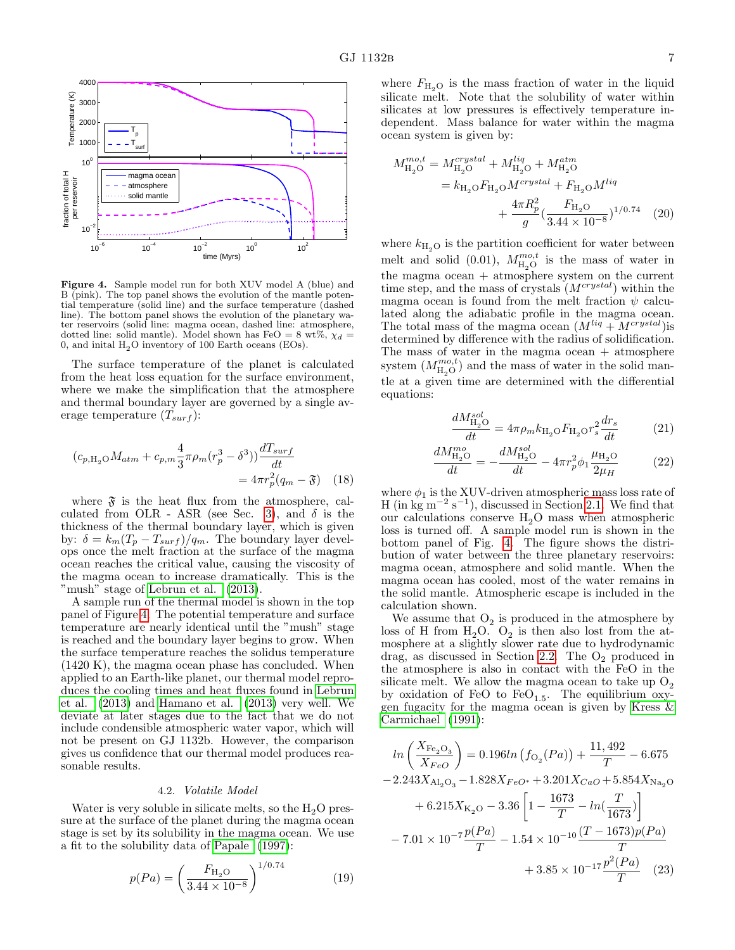

<span id="page-6-0"></span>Figure 4. Sample model run for both XUV model A (blue) and B (pink). The top panel shows the evolution of the mantle potential temperature (solid line) and the surface temperature (dashed line). The bottom panel shows the evolution of the planetary water reservoirs (solid line: magma ocean, dashed line: atmosphere, dotted line: solid mantle). Model shown has FeO = 8 wt%,  $\chi_d$  = 0, and inital  $H<sub>2</sub>O$  inventory of 100 Earth oceans (EOs).

The surface temperature of the planet is calculated from the heat loss equation for the surface environment, where we make the simplification that the atmosphere and thermal boundary layer are governed by a single average temperature  $(T_{surf})$ :

$$
(c_{p,H_2O}M_{atm} + c_{p,m}\frac{4}{3}\pi\rho_m(r_p^3 - \delta^3))\frac{dT_{surf}}{dt}
$$
  
=  $4\pi r_p^2(q_m - \mathfrak{F})$  (18)

where  $\mathfrak{F}$  is the heat flux from the atmosphere, cal-culated from OLR - ASR (see Sec. [3\)](#page-3-1), and  $\delta$  is the thickness of the thermal boundary layer, which is given by:  $\delta = k_m (T_p - T_{surf})/q_m$ . The boundary layer develops once the melt fraction at the surface of the magma ocean reaches the critical value, causing the viscosity of the magma ocean to increase dramatically. This is the "mush" stage of [Lebrun et al.](#page-13-25) [\(2013\)](#page-13-25).

A sample run of the thermal model is shown in the top panel of Figure [4.](#page-6-0) The potential temperature and surface temperature are nearly identical until the "mush" stage is reached and the boundary layer begins to grow. When the surface temperature reaches the solidus temperature (1420 K), the magma ocean phase has concluded. When applied to an Earth-like planet, our thermal model reproduces the cooling times and heat fluxes found in [Lebrun](#page-13-25) [et al.](#page-13-25) [\(2013\)](#page-13-25) and [Hamano et al.](#page-13-11) [\(2013\)](#page-13-11) very well. We deviate at later stages due to the fact that we do not include condensible atmospheric water vapor, which will not be present on GJ 1132b. However, the comparison gives us confidence that our thermal model produces reasonable results.

#### 4.2. Volatile Model

Water is very soluble in silicate melts, so the  $H_2O$  pressure at the surface of the planet during the magma ocean stage is set by its solubility in the magma ocean. We use a fit to the solubility data of [Papale](#page-13-63) [\(1997\)](#page-13-63):

$$
p(Pa) = \left(\frac{F_{\rm H_2O}}{3.44 \times 10^{-8}}\right)^{1/0.74} \tag{19}
$$

where  $F_{\text{H}_2\text{O}}$  is the mass fraction of water in the liquid silicate melt. Note that the solubility of water within silicates at low pressures is effectively temperature independent. Mass balance for water within the magma ocean system is given by:

$$
M_{\text{H}_2\text{O}}^{mo,t} = M_{\text{H}_2\text{O}}^{crystal} + M_{\text{H}_2\text{O}}^{liq} + M_{\text{H}_2\text{O}}^{atm}
$$

$$
= k_{\text{H}_2\text{O}} F_{\text{H}_2\text{O}} M^{crystal} + F_{\text{H}_2\text{O}} M^{liq}
$$

$$
+ \frac{4\pi R_p^2}{g} \left(\frac{F_{\text{H}_2\text{O}}}{3.44 \times 10^{-8}}\right)^{1/0.74} \tag{20}
$$

where  $k_{\text{H}_2\text{O}}$  is the partition coefficient for water between melt and solid (0.01),  $M_{\rm H_2O}^{mo,t}$  is the mass of water in the magma ocean + atmosphere system on the current time step, and the mass of crystals  $(M^{crystal})$  within the magma ocean is found from the melt fraction  $\psi$  calculated along the adiabatic profile in the magma ocean. The total mass of the magma ocean  $(M^{liq} + M^{crystal})$ is determined by difference with the radius of solidification. The mass of water in the magma ocean + atmosphere system  $(M_{\rm H_2O}^{mo,t})$  and the mass of water in the solid mantle at a given time are determined with the differential equations:

$$
\frac{dM_{\rm H_2O}^{sol}}{dt} = 4\pi \rho_m k_{\rm H_2O} F_{\rm H_2O} r_s^2 \frac{dr_s}{dt} \tag{21}
$$

$$
\frac{dM_{\text{H}_2O}^{mo}}{dt} = -\frac{dM_{\text{H}_2O}^{sol}}{dt} - 4\pi r_p^2 \phi_1 \frac{\mu_{\text{H}_2O}}{2\mu_H} \tag{22}
$$

where  $\phi_1$  is the XUV-driven atmospheric mass loss rate of H (in kg m<sup>-2</sup> s<sup>-1</sup>), discussed in Section [2.1.](#page-1-4) We find that our calculations conserve  $H_2O$  mass when atmospheric loss is turned off. A sample model run is shown in the bottom panel of Fig. [4.](#page-6-0) The figure shows the distribution of water between the three planetary reservoirs: magma ocean, atmosphere and solid mantle. When the magma ocean has cooled, most of the water remains in the solid mantle. Atmospheric escape is included in the calculation shown.

We assume that  $O_2$  is produced in the atmosphere by loss of H from  $H_2O$ .  $O_2$  is then also lost from the atmosphere at a slightly slower rate due to hydrodynamic drag, as discussed in Section [2.2.](#page-2-4) The  $O<sub>2</sub>$  produced in the atmosphere is also in contact with the FeO in the silicate melt. We allow the magma ocean to take up  $O_2$ by oxidation of FeO to  $FeO<sub>1.5</sub>$ . The equilibrium oxygen fugacity for the magma ocean is given by [Kress &](#page-13-64) [Carmichael](#page-13-64) [\(1991\)](#page-13-64):

$$
ln\left(\frac{X_{\text{Fe}_2\text{O}_3}}{X_{FeO}}\right) = 0.196ln\left(f_{\text{O}_2}(Pa)\right) + \frac{11,492}{T} - 6.675
$$
  
-2.243X<sub>A1<sub>2</sub>O<sub>3</sub> - 1.828X<sub>FeO</sub><sup>\*</sup> + 3.201X<sub>CaO</sub> + 5.854X<sub>Na\_2O</sub>  
+ 6.215X<sub>K\_2O</sub> - 3.36\left[1 - \frac{1673}{T} - ln\left(\frac{T}{1673}\right)\right]  
- 7.01 \times 10^{-7} \frac{p(Pa)}{T} - 1.54 \times 10^{-10} \frac{(T - 1673)p(Pa)}{T} + 3.85 \times 10^{-17} \frac{p^2(Pa)}{T}(23)</sub>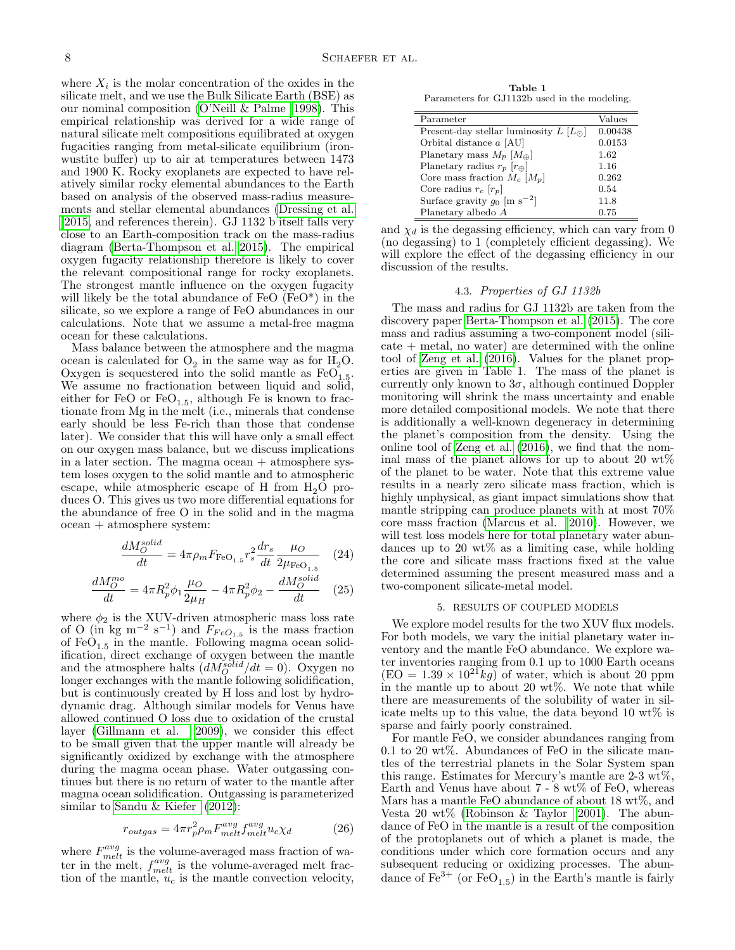where  $X_i$  is the molar concentration of the oxides in the silicate melt, and we use the Bulk Silicate Earth (BSE) as our nominal composition [\(O'Neill & Palme 1998\)](#page-13-65). This empirical relationship was derived for a wide range of natural silicate melt compositions equilibrated at oxygen fugacities ranging from metal-silicate equilibrium (ironwustite buffer) up to air at temperatures between 1473 and 1900 K. Rocky exoplanets are expected to have relatively similar rocky elemental abundances to the Earth based on analysis of the observed mass-radius measurements and stellar elemental abundances [\(Dressing et al.](#page-13-66) [2015,](#page-13-66) and references therein). GJ 1132 b itself falls very [c](#page-13-66)lose to an Earth-composition track on the mass-radius diagram [\(Berta-Thompson et al. 2015\)](#page-13-26). The empirical oxygen fugacity relationship therefore is likely to cover the relevant compositional range for rocky exoplanets. The strongest mantle influence on the oxygen fugacity will likely be the total abundance of FeO (FeO\*) in the silicate, so we explore a range of FeO abundances in our calculations. Note that we assume a metal-free magma ocean for these calculations.

Mass balance between the atmosphere and the magma ocean is calculated for  $O_2$  in the same way as for  $H_2O$ . Oxygen is sequestered into the solid mantle as  $FeO<sub>1.5</sub>$ . We assume no fractionation between liquid and solid, either for FeO or  $FeO_{1.5}$ , although Fe is known to fractionate from Mg in the melt (i.e., minerals that condense early should be less Fe-rich than those that condense later). We consider that this will have only a small effect on our oxygen mass balance, but we discuss implications in a later section. The magma ocean  $+$  atmosphere system loses oxygen to the solid mantle and to atmospheric escape, while atmospheric escape of H from  $H_2O$  produces O. This gives us two more differential equations for the abundance of free O in the solid and in the magma ocean + atmosphere system:

$$
\frac{dM_O^{solid}}{dt} = 4\pi \rho_m F_{\text{FeO}_{1.5}} r_s^2 \frac{dr_s}{dt} \frac{\mu_O}{2\mu_{\text{FeO}_{1.5}}} \quad (24)
$$

$$
\frac{dM_O^{mo}}{dt}=4\pi R_p^2\phi_1\frac{\mu_O}{2\mu_H}-4\pi R_p^2\phi_2-\frac{dM_O^{solid}}{dt}\quad (25)
$$

where  $\phi_2$  is the XUV-driven atmospheric mass loss rate of O (in kg m<sup>-2</sup> s<sup>-1</sup>) and  $F_{FeO<sub>1.5</sub>}$  is the mass fraction of  $FeO<sub>1.5</sub>$  in the mantle. Following magma ocean solidification, direct exchange of oxygen between the mantle and the atmosphere halts  $(dM_O^{solid}/dt=0)$ . Oxygen no longer exchanges with the mantle following solidification, but is continuously created by H loss and lost by hydrodynamic drag. Although similar models for Venus have allowed continued O loss due to oxidation of the crustal layer [\(Gillmann et al. 2009\)](#page-13-67), we consider this effect to be small given that the upper mantle will already be significantly oxidized by exchange with the atmosphere during the magma ocean phase. Water outgassing continues but there is no return of water to the mantle after magma ocean solidification. Outgassing is parameterized similar to [Sandu & Kiefer](#page-13-68) [\(2012\)](#page-13-68):

$$
r_{outgas} = 4\pi r_p^2 \rho_m F_{melt}^{avg} f_{melt}^{avg} u_c \chi_d \tag{26}
$$

where  $F_{melt}^{avg}$  is the volume-averaged mass fraction of water in the melt,  $f_{melt}^{avg}$  is the volume-averaged melt fraction of the mantle,  $u_c$  is the mantle convection velocity,

Table 1 Parameters for GJ1132b used in the modeling.

<span id="page-7-1"></span>

| Parameter                                      | Values  |
|------------------------------------------------|---------|
| Present-day stellar luminosity $L [L_{\odot}]$ | 0.00438 |
| Orbital distance $a$ [AU]                      | 0.0153  |
| Planetary mass $M_p$ [ $M_{\oplus}$ ]          | 1.62    |
| Planetary radius $r_p$ $[r_{\oplus}]$          | 1.16    |
| Core mass fraction $M_c$ [ $M_p$ ]             | 0.262   |
| Core radius $r_c$ [ $r_p$ ]                    | 0.54    |
| Surface gravity $g_0$ [m s <sup>-2</sup> ]     | 11.8    |
| Planetary albedo $A$                           | 0.75    |

and  $\chi_d$  is the degassing efficiency, which can vary from 0 (no degassing) to 1 (completely efficient degassing). We will explore the effect of the degassing efficiency in our discussion of the results.

## 4.3. Properties of GJ 1132b

The mass and radius for GJ 1132b are taken from the discovery paper [Berta-Thompson et al.](#page-13-26) [\(2015\)](#page-13-26). The core mass and radius assuming a two-component model (silicate + metal, no water) are determined with the online tool of [Zeng et al.](#page-13-69) [\(2016\)](#page-13-69). Values for the planet properties are given in Table 1. The mass of the planet is currently only known to  $3\sigma$ , although continued Doppler monitoring will shrink the mass uncertainty and enable more detailed compositional models. We note that there is additionally a well-known degeneracy in determining the planet's composition from the density. Using the online tool of [Zeng et al.](#page-13-69) [\(2016\)](#page-13-69), we find that the nominal mass of the planet allows for up to about 20  $\text{wt}\%$ of the planet to be water. Note that this extreme value results in a nearly zero silicate mass fraction, which is highly unphysical, as giant impact simulations show that mantle stripping can produce planets with at most 70% core mass fraction [\(Marcus et al. 2010\)](#page-13-70). However, we will test loss models here for total planetary water abundances up to 20  $\text{wt}\%$  as a limiting case, while holding the core and silicate mass fractions fixed at the value determined assuming the present measured mass and a two-component silicate-metal model.

#### 5. RESULTS OF COUPLED MODELS

<span id="page-7-0"></span>We explore model results for the two XUV flux models. For both models, we vary the initial planetary water inventory and the mantle FeO abundance. We explore water inventories ranging from 0.1 up to 1000 Earth oceans  $(EO = 1.39 \times 10^{21} kg)$  of water, which is about 20 ppm in the mantle up to about 20 wt%. We note that while there are measurements of the solubility of water in silicate melts up to this value, the data beyond 10 wt% is sparse and fairly poorly constrained.

For mantle FeO, we consider abundances ranging from 0.1 to 20 wt%. Abundances of FeO in the silicate mantles of the terrestrial planets in the Solar System span this range. Estimates for Mercury's mantle are 2-3 wt%, Earth and Venus have about  $7 - 8 \text{ wt}$ % of FeO, whereas Mars has a mantle FeO abundance of about 18 wt%, and Vesta 20 wt% [\(Robinson & Taylor 2001\)](#page-13-71). The abundance of FeO in the mantle is a result of the composition of the protoplanets out of which a planet is made, the conditions under which core formation occurs and any subsequent reducing or oxidizing processes. The abundance of  $\text{Fe}^{3+}$  (or  $\text{FeO}_{1.5}$ ) in the Earth's mantle is fairly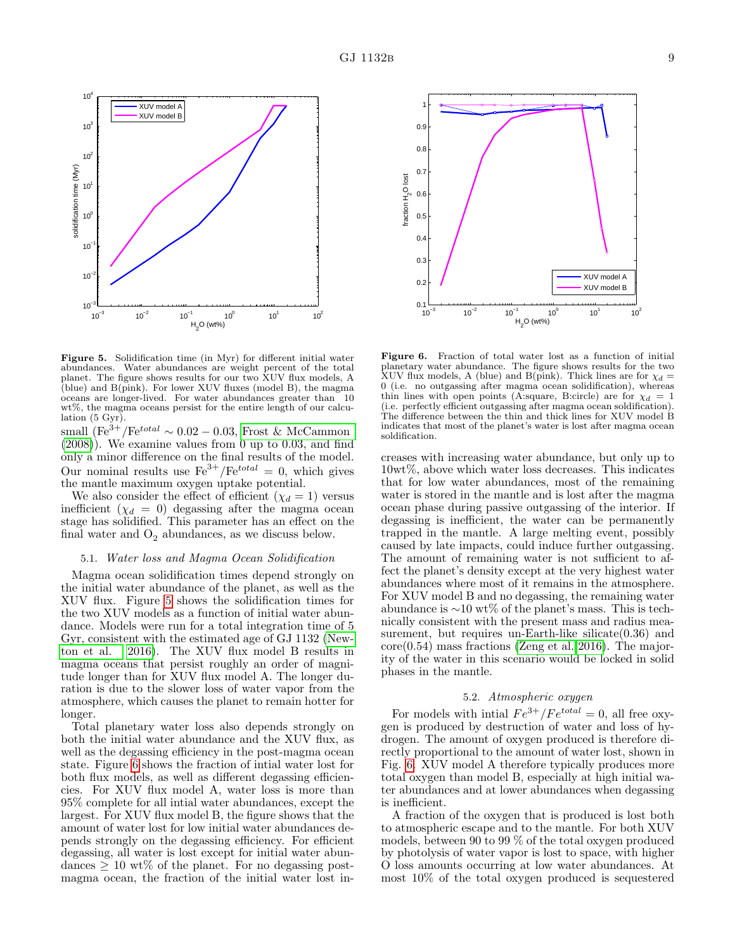

<span id="page-8-0"></span>Figure 5. Solidification time (in Myr) for different initial water abundances. Water abundances are weight percent of the total planet. The figure shows results for our two XUV flux models, A (blue) and B(pink). For lower XUV fluxes (model B), the magma oceans are longer-lived. For water abundances greater than 10 wt%, the magma oceans persist for the entire length of our calculation (5 Gyr).

small  $(Fe^{3+}/Fe^{total} \sim 0.02 - 0.03$ , [Frost & McCammon](#page-13-72)  $(2008)$ . We examine values from 0 up to 0.03, and find only a minor difference on the final results of the model. Our nominal results use  $\text{Fe}^{3+}/\text{Fe}^{total} = 0$ , which gives the mantle maximum oxygen uptake potential.

We also consider the effect of efficient  $(\chi_d = 1)$  versus inefficient  $(\chi_d = 0)$  degassing after the magma ocean stage has solidified. This parameter has an effect on the final water and  $O_2$  abundances, as we discuss below.

#### 5.1. Water loss and Magma Ocean Solidification

Magma ocean solidification times depend strongly on the initial water abundance of the planet, as well as the XUV flux. Figure [5](#page-8-0) shows the solidification times for the two XUV models as a function of initial water abundance. Models were run for a total integration time of 5 Gyr, consistent with the estimated age of GJ 1132 [\(New](#page-13-73)[ton et al. 2016\)](#page-13-73). The XUV flux model B results in magma oceans that persist roughly an order of magnitude longer than for XUV flux model A. The longer duration is due to the slower loss of water vapor from the atmosphere, which causes the planet to remain hotter for longer.

Total planetary water loss also depends strongly on both the initial water abundance and the XUV flux, as well as the degassing efficiency in the post-magma ocean state. Figure [6](#page-8-1) shows the fraction of intial water lost for both flux models, as well as different degassing efficiencies. For XUV flux model A, water loss is more than 95% complete for all intial water abundances, except the largest. For XUV flux model B, the figure shows that the amount of water lost for low initial water abundances depends strongly on the degassing efficiency. For efficient degassing, all water is lost except for initial water abundances  $\geq 10$  wt% of the planet. For no degassing postmagma ocean, the fraction of the initial water lost in-



<span id="page-8-1"></span>Figure 6. Fraction of total water lost as a function of initial planetary water abundance. The figure shows results for the two XUV flux models, A (blue) and B(pink). Thick lines are for  $\chi_d =$ 0 (i.e. no outgassing after magma ocean solidification), whereas thin lines with open points (A:square, B:circle) are for  $\chi_d = 1$ (i.e. perfectly efficient outgassing after magma ocean soldification). The difference between the thin and thick lines for XUV model B indicates that most of the planet's water is lost after magma ocean soldification.

creases with increasing water abundance, but only up to 10wt%, above which water loss decreases. This indicates that for low water abundances, most of the remaining water is stored in the mantle and is lost after the magma ocean phase during passive outgassing of the interior. If degassing is inefficient, the water can be permanently trapped in the mantle. A large melting event, possibly caused by late impacts, could induce further outgassing. The amount of remaining water is not sufficient to affect the planet's density except at the very highest water abundances where most of it remains in the atmosphere. For XUV model B and no degassing, the remaining water abundance is ∼10 wt% of the planet's mass. This is technically consistent with the present mass and radius measurement, but requires un-Earth-like silicate $(0.36)$  and core(0.54) mass fractions [\(Zeng et al. 2016\)](#page-13-69). The majority of the water in this scenario would be locked in solid phases in the mantle.

### 5.2. Atmospheric oxygen

For models with intial  $Fe^{3+}/Fe^{total} = 0$ , all free oxygen is produced by destruction of water and loss of hydrogen. The amount of oxygen produced is therefore directly proportional to the amount of water lost, shown in Fig. [6.](#page-8-1) XUV model A therefore typically produces more total oxygen than model B, especially at high initial water abundances and at lower abundances when degassing is inefficient.

A fraction of the oxygen that is produced is lost both to atmospheric escape and to the mantle. For both XUV models, between 90 to 99 % of the total oxygen produced by photolysis of water vapor is lost to space, with higher O loss amounts occurring at low water abundances. At most 10% of the total oxygen produced is sequestered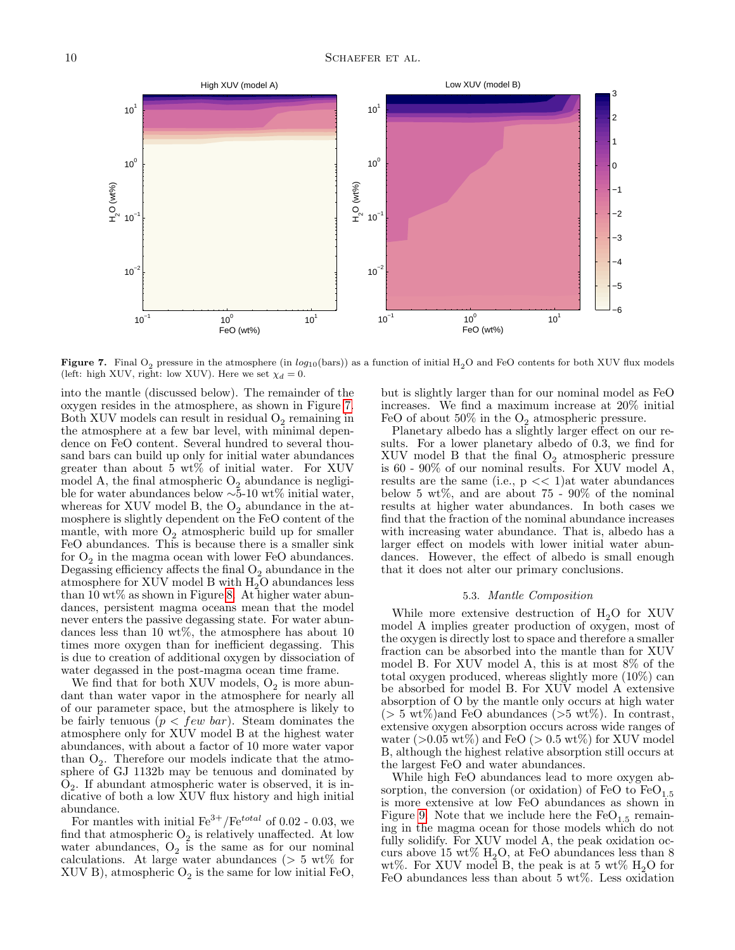

<span id="page-9-0"></span>**Figure 7.** Final O<sub>2</sub> pressure in the atmosphere (in  $log_{10}({\rm bars})$ ) as a function of initial  $\rm H_2O$  and FeO contents for both XUV flux models (left: high XUV, right: low XUV). Here we set  $\chi_d = 0$ .

into the mantle (discussed below). The remainder of the oxygen resides in the atmosphere, as shown in Figure [7.](#page-9-0) Both XUV models can result in residual  $O_2$  remaining in the atmosphere at a few bar level, with minimal dependence on FeO content. Several hundred to several thousand bars can build up only for initial water abundances greater than about 5 wt% of initial water. For XUV model A, the final atmospheric  $O_2$  abundance is negligible for water abundances below ∼5-10 wt% initial water, whereas for XUV model B, the  $O_2$  abundance in the atmosphere is slightly dependent on the FeO content of the mantle, with more  $O_2$  atmospheric build up for smaller FeO abundances. This is because there is a smaller sink for  $O_2$  in the magma ocean with lower FeO abundances. Degassing efficiency affects the final  $O_2$  abundance in the atmosphere for XUV model B with  $H_2O$  abundances less than 10 wt% as shown in Figure [8.](#page-10-1) At higher water abundances, persistent magma oceans mean that the model never enters the passive degassing state. For water abundances less than 10 wt%, the atmosphere has about 10 times more oxygen than for inefficient degassing. This is due to creation of additional oxygen by dissociation of water degassed in the post-magma ocean time frame.

We find that for both XUV models,  $O_2$  is more abundant than water vapor in the atmosphere for nearly all of our parameter space, but the atmosphere is likely to be fairly tenuous  $(p < few bar)$ . Steam dominates the atmosphere only for XUV model B at the highest water abundances, with about a factor of 10 more water vapor than  $O_2$ . Therefore our models indicate that the atmosphere of GJ 1132b may be tenuous and dominated by O2 . If abundant atmospheric water is observed, it is indicative of both a low XUV flux history and high initial abundance.

For mantles with initial  $\text{Fe}^{3+}/\text{Fe}^{total}$  of 0.02 - 0.03, we find that atmospheric  $O_2$  is relatively unaffected. At low water abundances,  $O_2$  is the same as for our nominal calculations. At large water abundances ( $> 5 \text{ wt}\%$  for  $XUV B$ ), atmospheric  $O_2$  is the same for low initial FeO,

but is slightly larger than for our nominal model as FeO increases. We find a maximum increase at 20% initial FeO of about  $50\%$  in the  $O_2$  atmospheric pressure.

Planetary albedo has a slightly larger effect on our results. For a lower planetary albedo of 0.3, we find for  $XUV$  model B that the final  $O_2$  atmospheric pressure is 60 - 90% of our nominal results. For XUV model A, results are the same (i.e.,  $p \ll 1$ ) at water abundances below 5 wt%, and are about  $75 - 90\%$  of the nominal results at higher water abundances. In both cases we find that the fraction of the nominal abundance increases with increasing water abundance. That is, albedo has a larger effect on models with lower initial water abundances. However, the effect of albedo is small enough that it does not alter our primary conclusions.

### 5.3. Mantle Composition

While more extensive destruction of  $H_2O$  for XUV model A implies greater production of oxygen, most of the oxygen is directly lost to space and therefore a smaller fraction can be absorbed into the mantle than for XUV model B. For XUV model A, this is at most 8% of the total oxygen produced, whereas slightly more (10%) can be absorbed for model B. For XUV model A extensive absorption of O by the mantle only occurs at high water  $(> 5 \text{ wt})$  and FeO abundances  $(> 5 \text{ wt})$ . In contrast, extensive oxygen absorption occurs across wide ranges of water ( $>0.05 \text{ wt\%}$ ) and FeO ( $>0.5 \text{ wt\%}$ ) for XUV model B, although the highest relative absorption still occurs at the largest FeO and water abundances.

While high FeO abundances lead to more oxygen absorption, the conversion (or oxidation) of FeO to  $FeO<sub>1.5</sub>$ is more extensive at low FeO abundances as shown in Figure [9.](#page-11-0) Note that we include here the  $FeO<sub>1.5</sub>$  remaining in the magma ocean for those models which do not fully solidify. For XUV model A, the peak oxidation occurs above 15 wt%  $H_2O$ , at FeO abundances less than 8 wt%. For XUV model B, the peak is at 5 wt%  $H_2O$  for FeO abundances less than about 5 wt%. Less oxidation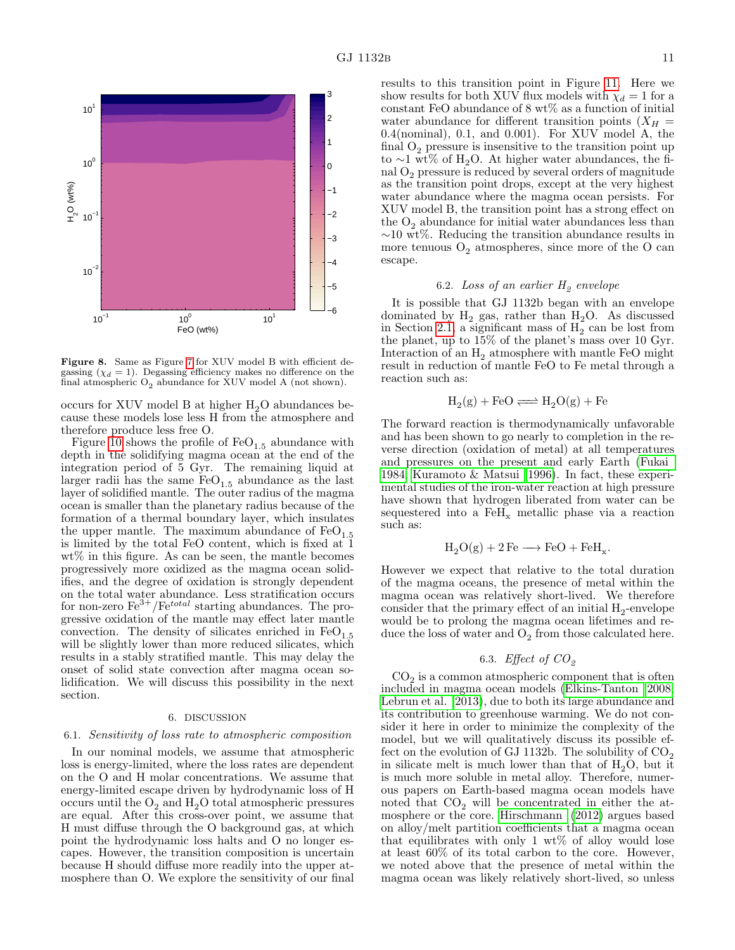

<span id="page-10-1"></span>Figure 8. Same as Figure [7](#page-9-0) for XUV model B with efficient degassing  $(\chi_d = 1)$ . Degassing efficiency makes no difference on the final atmospheric  $O_2$  abundance for XUV model A (not shown).

occurs for XUV model B at higher  $H_2O$  abundances because these models lose less H from the atmosphere and therefore produce less free O.

Figure [10](#page-11-1) shows the profile of  $FeO<sub>1.5</sub>$  abundance with depth in the solidifying magma ocean at the end of the integration period of 5 Gyr. The remaining liquid at larger radii has the same  $FeO<sub>1.5</sub>$  abundance as the last layer of solidified mantle. The outer radius of the magma ocean is smaller than the planetary radius because of the formation of a thermal boundary layer, which insulates the upper mantle. The maximum abundance of  $FeO<sub>1.5</sub>$ is limited by the total FeO content, which is fixed at 1 wt% in this figure. As can be seen, the mantle becomes progressively more oxidized as the magma ocean solidifies, and the degree of oxidation is strongly dependent on the total water abundance. Less stratification occurs for non-zero  $\text{Fe}^{3+}/\text{Fe}^{total}$  starting abundances. The progressive oxidation of the mantle may effect later mantle convection. The density of silicates enriched in  $FeO<sub>1.5</sub>$ will be slightly lower than more reduced silicates, which results in a stably stratified mantle. This may delay the onset of solid state convection after magma ocean solidification. We will discuss this possibility in the next section.

#### 6. DISCUSSION

#### <span id="page-10-0"></span>6.1. Sensitivity of loss rate to atmospheric composition

In our nominal models, we assume that atmospheric loss is energy-limited, where the loss rates are dependent on the O and H molar concentrations. We assume that energy-limited escape driven by hydrodynamic loss of H occurs until the  $O_2$  and  $H_2O$  total atmospheric pressures are equal. After this cross-over point, we assume that H must diffuse through the O background gas, at which point the hydrodynamic loss halts and O no longer escapes. However, the transition composition is uncertain because H should diffuse more readily into the upper atmosphere than O. We explore the sensitivity of our final

results to this transition point in Figure [11.](#page-11-2) Here we show results for both XUV flux models with  $\chi_d = 1$  for a constant FeO abundance of 8 wt% as a function of initial water abundance for different transition points  $(X_H =$ 0.4(nominal), 0.1, and 0.001). For XUV model A, the final  $O_2$  pressure is insensitive to the transition point up to ∼1 wt% of H<sub>2</sub>O. At higher water abundances, the final  $O_2$  pressure is reduced by several orders of magnitude as the transition point drops, except at the very highest water abundance where the magma ocean persists. For XUV model B, the transition point has a strong effect on the  $O_2$  abundance for initial water abundances less than ∼10 wt%. Reducing the transition abundance results in more tenuous  $O_2$  atmospheres, since more of the O can escape.

# 6.2. Loss of an earlier  $H_2$  envelope

It is possible that GJ 1132b began with an envelope dominated by  $H_2$  gas, rather than  $H_2O$ . As discussed in Section [2.1,](#page-1-4) a significant mass of  $H_2$  can be lost from the planet, up to 15% of the planet's mass over 10 Gyr. Interaction of an  $H_2$  atmosphere with mantle FeO might result in reduction of mantle FeO to Fe metal through a reaction such as:

$$
H_2(g) + FeO \Longleftrightarrow H_2O(g) + Fe
$$

The forward reaction is thermodynamically unfavorable and has been shown to go nearly to completion in the reverse direction (oxidation of metal) at all temperatures and pressures on the present and early Earth [\(Fukai](#page-13-74) [1984;](#page-13-74) [Kuramoto & Matsui 1996\)](#page-13-75). In fact, these experimental studies of the iron-water reaction at high pressure have shown that hydrogen liberated from water can be sequestered into a  $\rm FeH_{x}$  metallic phase via a reaction such as:

$$
H_2O(g) + 2\,\text{Fe} \longrightarrow \text{FeO} + \text{FeH}_x.
$$

However we expect that relative to the total duration of the magma oceans, the presence of metal within the magma ocean was relatively short-lived. We therefore consider that the primary effect of an initial  $H_2$ -envelope would be to prolong the magma ocean lifetimes and reduce the loss of water and  $O_2$  from those calculated here.

# 6.3. *Effect of*  $CO<sub>2</sub>$

 $CO<sub>2</sub>$  is a common atmospheric component that is often included in magma ocean models [\(Elkins-Tanton 2008;](#page-13-60) [Lebrun et al. 2013\)](#page-13-25), due to both its large abundance and its contribution to greenhouse warming. We do not consider it here in order to minimize the complexity of the model, but we will qualitatively discuss its possible effect on the evolution of GJ 1132b. The solubility of  $CO<sub>2</sub>$ in silicate melt is much lower than that of  $H_2O$ , but it is much more soluble in metal alloy. Therefore, numerous papers on Earth-based magma ocean models have noted that  $CO<sub>2</sub>$  will be concentrated in either the atmosphere or the core. [Hirschmann](#page-13-76) [\(2012\)](#page-13-76) argues based on alloy/melt partition coefficients that a magma ocean that equilibrates with only 1  $wt\%$  of alloy would lose at least 60% of its total carbon to the core. However, we noted above that the presence of metal within the magma ocean was likely relatively short-lived, so unless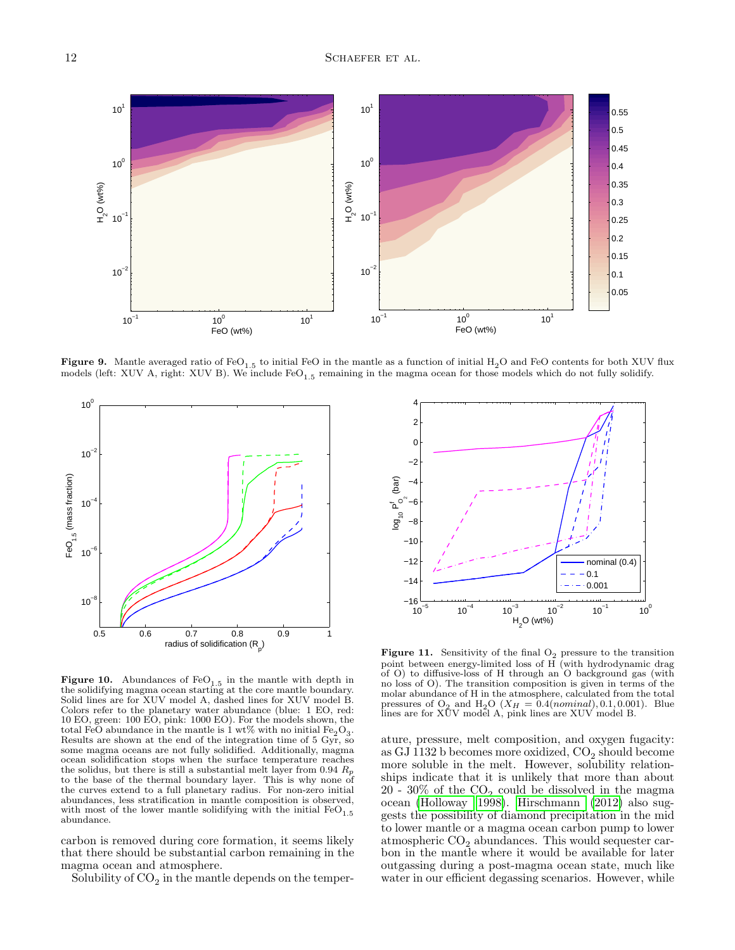

<span id="page-11-0"></span>Figure 9. Mantle averaged ratio of FeO<sub>1.5</sub> to initial FeO in the mantle as a function of initial H<sub>2</sub>O and FeO contents for both XUV flux models (left: XUV A, right: XUV B). We include  $FeO_{1.5}$  remaining in the magma ocean for those models which do not fully solidify.



<span id="page-11-1"></span>Figure 10. Abundances of  $FeO<sub>1.5</sub>$  in the mantle with depth in the solidifying magma ocean starting at the core mantle boundary. Solid lines are for XUV model A, dashed lines for XUV model B. Colors refer to the planetary water abundance (blue: 1 EO, red: 10 EO, green: 100 EO, pink: 1000 EO). For the models shown, the total FeO abundance in the mantle is 1 wt% with no initial  $Fe<sub>2</sub>O<sub>3</sub>$ . Results are shown at the end of the integration time of  $5 \frac{\text{Gyr}}{\text{Gyr}}$ , so some magma oceans are not fully solidified. Additionally, magma ocean solidification stops when the surface temperature reaches the solidus, but there is still a substantial melt layer from  $0.94 R_p$ to the base of the thermal boundary layer. This is why none of the curves extend to a full planetary radius. For non-zero initial abundances, less stratification in mantle composition is observed, with most of the lower mantle solidifying with the initial  $FeO<sub>1.5</sub>$ abundance.

carbon is removed during core formation, it seems likely that there should be substantial carbon remaining in the magma ocean and atmosphere.

Solubility of  $\mathrm{CO}_2$  in the mantle depends on the temper-



<span id="page-11-2"></span>**Figure 11.** Sensitivity of the final  $O_2$  pressure to the transition point between energy-limited loss of H (with hydrodynamic drag of O) to diffusive-loss of H through an O background gas (with no loss of O). The transition composition is given in terms of the molar abundance of H in the atmosphere, calculated from the total pressures of  $O_2$  and  $H_2O$  ( $X_H = 0.4(nominal)$ , 0.1, 0.001). Blue lines are for XUV model A, pink lines are XUV model B.

ature, pressure, melt composition, and oxygen fugacity: as GJ 1132 b becomes more oxidized,  $CO_2$  should become more soluble in the melt. However, solubility relationships indicate that it is unlikely that more than about 20 - 30% of the  $CO_2$  could be dissolved in the magma ocean [\(Holloway 1998\)](#page-13-77). [Hirschmann](#page-13-76) [\(2012\)](#page-13-76) also suggests the possibility of diamond precipitation in the mid to lower mantle or a magma ocean carbon pump to lower atmospheric  $CO_2$  abundances. This would sequester carbon in the mantle where it would be available for later outgassing during a post-magma ocean state, much like water in our efficient degassing scenarios. However, while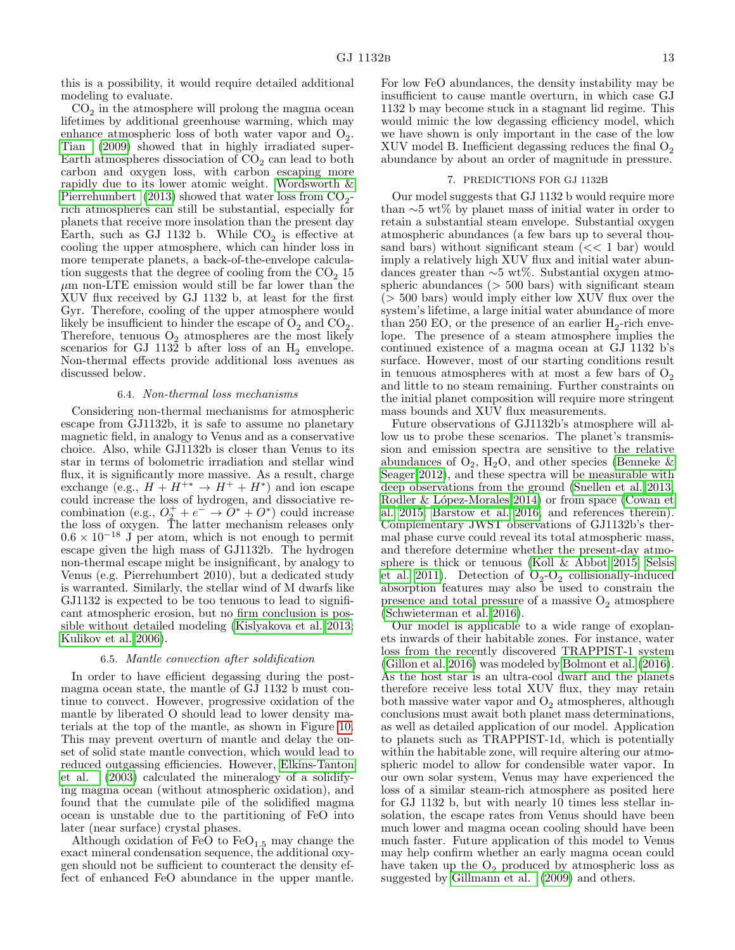this is a possibility, it would require detailed additional modeling to evaluate.

 $\mathrm{CO}_2$  in the atmosphere will prolong the magma ocean lifetimes by additional greenhouse warming, which may enhance atmospheric loss of both water vapor and  $O_2$ . [Tian](#page-13-29) [\(2009\)](#page-13-29) showed that in highly irradiated super-Earth atmospheres dissociation of  $CO<sub>2</sub>$  can lead to both carbon and oxygen loss, with carbon escaping more rapidly due to its lower atomic weight. [Wordsworth &](#page-13-78) [Pierrehumbert](#page-13-78) [\(2013\)](#page-13-78) showed that water loss from  $CO_2$ rich atmospheres can still be substantial, especially for planets that receive more insolation than the present day Earth, such as GJ 1132 b. While  $CO<sub>2</sub>$  is effective at cooling the upper atmosphere, which can hinder loss in more temperate planets, a back-of-the-envelope calculation suggests that the degree of cooling from the  $CO<sub>2</sub>$  15  $\mu$ m non-LTE emission would still be far lower than the XUV flux received by GJ 1132 b, at least for the first Gyr. Therefore, cooling of the upper atmosphere would likely be insufficient to hinder the escape of  $O_2$  and  $CO_2$ . Therefore, tenuous  $O_2$  atmospheres are the most likely scenarios for GJ 1132 b after loss of an  $H_2$  envelope. Non-thermal effects provide additional loss avenues as discussed below.

### 6.4. Non-thermal loss mechanisms

Considering non-thermal mechanisms for atmospheric escape from GJ1132b, it is safe to assume no planetary magnetic field, in analogy to Venus and as a conservative choice. Also, while GJ1132b is closer than Venus to its star in terms of bolometric irradiation and stellar wind flux, it is significantly more massive. As a result, charge exchange (e.g.,  $H + H^{+*} \rightarrow H^+ + H^*$ ) and ion escape could increase the loss of hydrogen, and dissociative recombination (e.g.,  $O_2^+ + e^- \rightarrow O^* + O^*$ ) could increase the loss of oxygen. The latter mechanism releases only  $0.6 \times 10^{-18}$  J per atom, which is not enough to permit escape given the high mass of GJ1132b. The hydrogen non-thermal escape might be insignificant, by analogy to Venus (e.g. Pierrehumbert 2010), but a dedicated study is warranted. Similarly, the stellar wind of M dwarfs like GJ1132 is expected to be too tenuous to lead to significant atmospheric erosion, but no firm conclusion is possible without detailed modeling [\(Kislyakova et al. 2013;](#page-13-79) [Kulikov et al. 2006\)](#page-13-8).

### 6.5. Mantle convection after soldification

In order to have efficient degassing during the postmagma ocean state, the mantle of GJ 1132 b must continue to convect. However, progressive oxidation of the mantle by liberated O should lead to lower density materials at the top of the mantle, as shown in Figure [10.](#page-11-1) This may prevent overturn of mantle and delay the onset of solid state mantle convection, which would lead to reduced outgassing efficiencies. However, [Elkins-Tanton](#page-13-24) [et al.](#page-13-24) [\(2003\)](#page-13-24) calculated the mineralogy of a solidifying magma ocean (without atmospheric oxidation), and found that the cumulate pile of the solidified magma ocean is unstable due to the partitioning of FeO into later (near surface) crystal phases.

Although oxidation of FeO to  $FeO_{1.5}$  may change the exact mineral condensation sequence, the additional oxygen should not be sufficient to counteract the density effect of enhanced FeO abundance in the upper mantle.

For low FeO abundances, the density instability may be insufficient to cause mantle overturn, in which case GJ 1132 b may become stuck in a stagnant lid regime. This would mimic the low degassing efficiency model, which we have shown is only important in the case of the low XUV model B. Inefficient degassing reduces the final  $O_2$ abundance by about an order of magnitude in pressure.

### 7. PREDICTIONS FOR GJ 1132B

<span id="page-12-0"></span>Our model suggests that GJ 1132 b would require more than ∼5 wt% by planet mass of initial water in order to retain a substantial steam envelope. Substantial oxygen atmospheric abundances (a few bars up to several thousand bars) without significant steam  $\ll 1$  bar) would imply a relatively high XUV flux and initial water abundances greater than ∼5 wt%. Substantial oxygen atmospheric abundances  $(> 500 \text{ bars})$  with significant steam  $(> 500 \text{ bars})$  would imply either low XUV flux over the system's lifetime, a large initial water abundance of more than 250 EO, or the presence of an earlier  $H_2$ -rich envelope. The presence of a steam atmosphere implies the continued existence of a magma ocean at GJ 1132 b's surface. However, most of our starting conditions result in tenuous atmospheres with at most a few bars of  $O<sub>2</sub>$ and little to no steam remaining. Further constraints on the initial planet composition will require more stringent mass bounds and XUV flux measurements.

Future observations of GJ1132b's atmosphere will allow us to probe these scenarios. The planet's transmission and emission spectra are sensitive to the relative abundances of  $O_2$ ,  $H_2O$ , and other species (Benneke  $\&$ [Seager 2012\)](#page-13-80), and these spectra will be measurable with deep observations from the ground [\(Snellen et al. 2013;](#page-13-81) Rodler & López-Morales 2014) or from space [\(Cowan et](#page-13-83) [al. 2015;](#page-13-83) [Barstow et al. 2016,](#page-13-84) and references therein). Complementary JWST observations of GJ1132b's thermal phase curve could reveal its total atmospheric mass, and therefore determine whether the present-day atmosphere is thick or tenuous [\(Koll & Abbot 2015;](#page-13-85) [Selsis](#page-13-86) [et al. 2011\)](#page-13-86). Detection of  $O_2-O_2$  collisionally-induced absorption features may also be used to constrain the presence and total pressure of a massive  $O_2$  atmosphere [\(Schwieterman et al. 2016\)](#page-13-87).

Our model is applicable to a wide range of exoplanets inwards of their habitable zones. For instance, water loss from the recently discovered TRAPPIST-1 system [\(Gillon et al. 2016\)](#page-13-88) was modeled by [Bolmont et al.](#page-13-17) [\(2016\)](#page-13-17). As the host star is an ultra-cool dwarf and the planets therefore receive less total XUV flux, they may retain both massive water vapor and  $\mathrm{O}_2$  atmospheres, although conclusions must await both planet mass determinations, as well as detailed application of our model. Application to planets such as TRAPPIST-1d, which is potentially within the habitable zone, will require altering our atmospheric model to allow for condensible water vapor. In our own solar system, Venus may have experienced the loss of a similar steam-rich atmosphere as posited here for GJ 1132 b, but with nearly 10 times less stellar insolation, the escape rates from Venus should have been much lower and magma ocean cooling should have been much faster. Future application of this model to Venus may help confirm whether an early magma ocean could have taken up the  $O_2$  produced by atmospheric loss as suggested by [Gillmann et al.](#page-13-67) [\(2009\)](#page-13-67) and others.